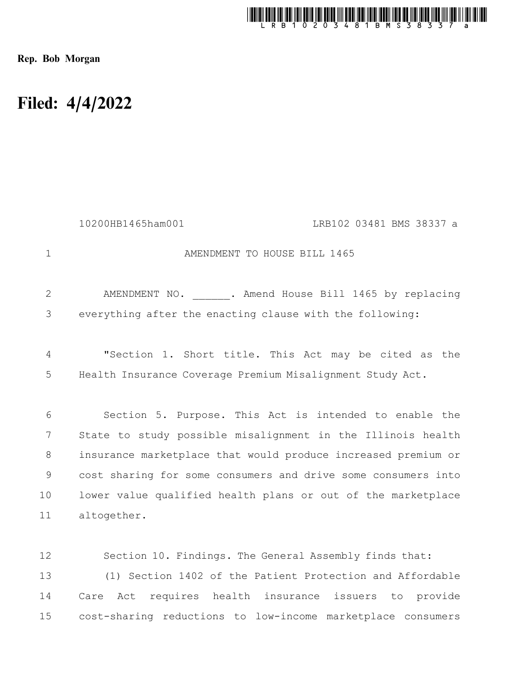

Rep. Bob Morgan

## Filed: 4/4/2022

|                | 10200HB1465ham001<br>LRB102 03481 BMS 38337 a                 |
|----------------|---------------------------------------------------------------|
| $\mathbf{1}$   | AMENDMENT TO HOUSE BILL 1465                                  |
| $\overline{2}$ | AMENDMENT NO. . Amend House Bill 1465 by replacing            |
| 3              | everything after the enacting clause with the following:      |
| 4              | "Section 1. Short title. This Act may be cited as the         |
| 5              | Health Insurance Coverage Premium Misalignment Study Act.     |
| 6              | Section 5. Purpose. This Act is intended to enable the        |
| 7              | State to study possible misalignment in the Illinois health   |
| 8              | insurance marketplace that would produce increased premium or |
| 9              | cost sharing for some consumers and drive some consumers into |
| 10             | lower value qualified health plans or out of the marketplace  |
| 11             | altogether.                                                   |
|                |                                                               |
| 12             | Section 10. Findings. The General Assembly finds that:        |
| 13             | (1) Section 1402 of the Patient Protection and Affordable     |
| 14             | Act requires health insurance issuers to<br>Care<br>provide   |
| 15             | cost-sharing reductions to low-income marketplace consumers   |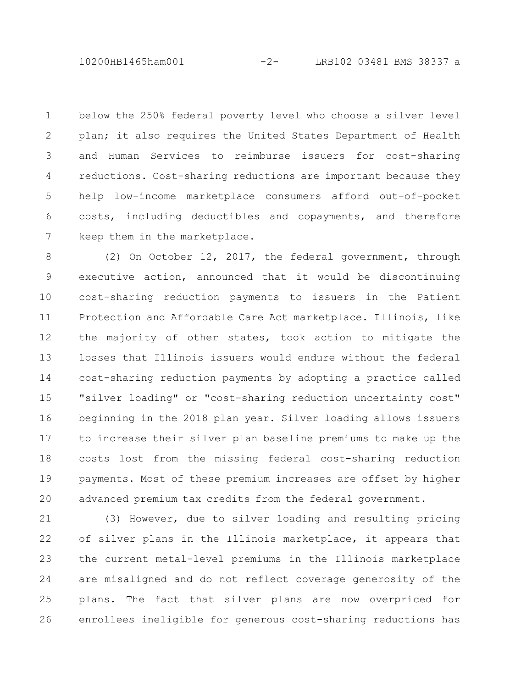10200HB1465ham001 -2- LRB102 03481 BMS 38337 a

below the 250% federal poverty level who choose a silver level plan; it also requires the United States Department of Health and Human Services to reimburse issuers for cost-sharing reductions. Cost-sharing reductions are important because they help low-income marketplace consumers afford out-of-pocket costs, including deductibles and copayments, and therefore keep them in the marketplace. 1 2 3 4 5 6 7

(2) On October 12, 2017, the federal government, through executive action, announced that it would be discontinuing cost-sharing reduction payments to issuers in the Patient Protection and Affordable Care Act marketplace. Illinois, like the majority of other states, took action to mitigate the losses that Illinois issuers would endure without the federal cost-sharing reduction payments by adopting a practice called "silver loading" or "cost-sharing reduction uncertainty cost" beginning in the 2018 plan year. Silver loading allows issuers to increase their silver plan baseline premiums to make up the costs lost from the missing federal cost-sharing reduction payments. Most of these premium increases are offset by higher advanced premium tax credits from the federal government. 8 9 10 11 12 13 14 15 16 17 18 19 20

(3) However, due to silver loading and resulting pricing of silver plans in the Illinois marketplace, it appears that the current metal-level premiums in the Illinois marketplace are misaligned and do not reflect coverage generosity of the plans. The fact that silver plans are now overpriced for enrollees ineligible for generous cost-sharing reductions has 21 22 23 24 25 26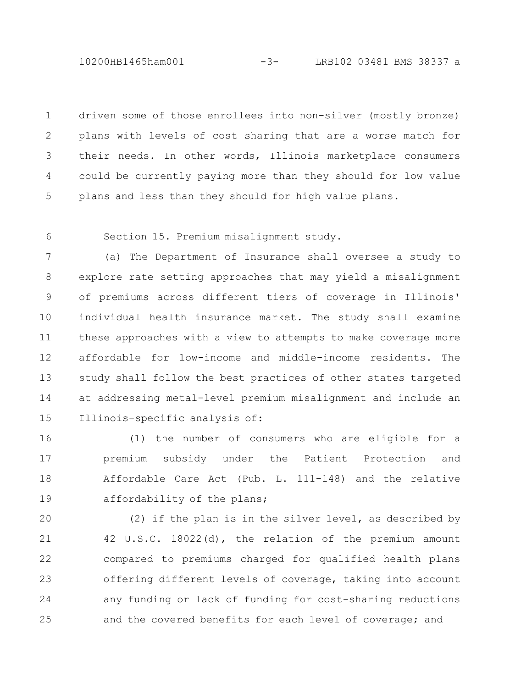10200HB1465ham001 -3- LRB102 03481 BMS 38337 a

driven some of those enrollees into non-silver (mostly bronze) plans with levels of cost sharing that are a worse match for their needs. In other words, Illinois marketplace consumers could be currently paying more than they should for low value plans and less than they should for high value plans. 1 2 3 4 5

6

Section 15. Premium misalignment study.

(a) The Department of Insurance shall oversee a study to explore rate setting approaches that may yield a misalignment of premiums across different tiers of coverage in Illinois' individual health insurance market. The study shall examine these approaches with a view to attempts to make coverage more affordable for low-income and middle-income residents. The study shall follow the best practices of other states targeted at addressing metal-level premium misalignment and include an Illinois-specific analysis of: 7 8 9 10 11 12 13 14 15

(1) the number of consumers who are eligible for a premium subsidy under the Patient Protection and Affordable Care Act (Pub. L. 111-148) and the relative affordability of the plans; 16 17 18 19

(2) if the plan is in the silver level, as described by 42 U.S.C. 18022(d), the relation of the premium amount compared to premiums charged for qualified health plans offering different levels of coverage, taking into account any funding or lack of funding for cost-sharing reductions and the covered benefits for each level of coverage; and 20 21 22 23 24 25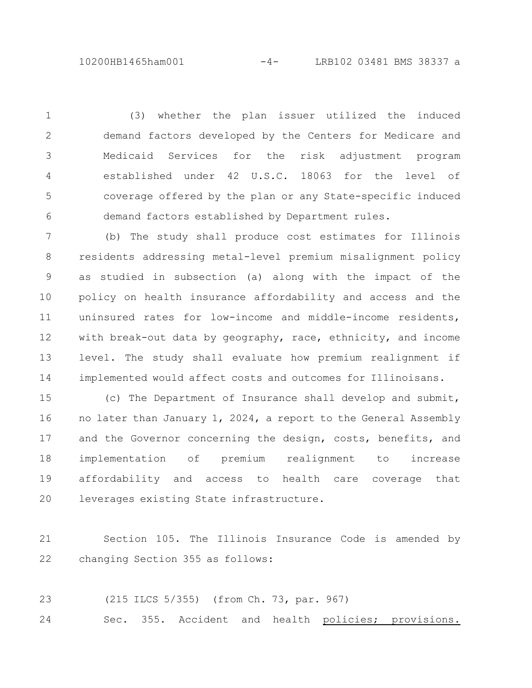10200HB1465ham001 -4- LRB102 03481 BMS 38337 a

(3) whether the plan issuer utilized the induced demand factors developed by the Centers for Medicare and Medicaid Services for the risk adjustment program established under 42 U.S.C. 18063 for the level of coverage offered by the plan or any State-specific induced demand factors established by Department rules. 1 2 3 4 5 6

(b) The study shall produce cost estimates for Illinois residents addressing metal-level premium misalignment policy as studied in subsection (a) along with the impact of the policy on health insurance affordability and access and the uninsured rates for low-income and middle-income residents, with break-out data by geography, race, ethnicity, and income level. The study shall evaluate how premium realignment if implemented would affect costs and outcomes for Illinoisans. 7 8 9 10 11 12 13 14

(c) The Department of Insurance shall develop and submit, no later than January 1, 2024, a report to the General Assembly and the Governor concerning the design, costs, benefits, and implementation of premium realignment to increase affordability and access to health care coverage that leverages existing State infrastructure. 15 16 17 18 19 20

Section 105. The Illinois Insurance Code is amended by changing Section 355 as follows: 21 22

(215 ILCS 5/355) (from Ch. 73, par. 967) Sec. 355. Accident and health policies; provisions. 23 24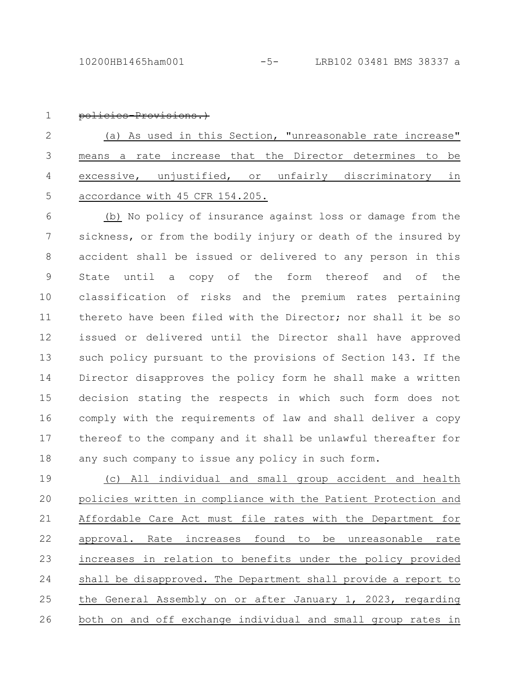1

## policies-Provisions.)

(a) As used in this Section, "unreasonable rate increase" means a rate increase that the Director determines to be excessive, unjustified, or unfairly discriminatory in accordance with 45 CFR 154.205. 2 3 4 5

(b) No policy of insurance against loss or damage from the sickness, or from the bodily injury or death of the insured by accident shall be issued or delivered to any person in this State until a copy of the form thereof and of the classification of risks and the premium rates pertaining thereto have been filed with the Director; nor shall it be so issued or delivered until the Director shall have approved such policy pursuant to the provisions of Section 143. If the Director disapproves the policy form he shall make a written decision stating the respects in which such form does not comply with the requirements of law and shall deliver a copy thereof to the company and it shall be unlawful thereafter for any such company to issue any policy in such form. 6 7 8 9 10 11 12 13 14 15 16 17 18

(c) All individual and small group accident and health policies written in compliance with the Patient Protection and Affordable Care Act must file rates with the Department for approval. Rate increases found to be unreasonable rate increases in relation to benefits under the policy provided shall be disapproved. The Department shall provide a report to the General Assembly on or after January 1, 2023, regarding both on and off exchange individual and small group rates in 19 20 21 22 23 24 25 26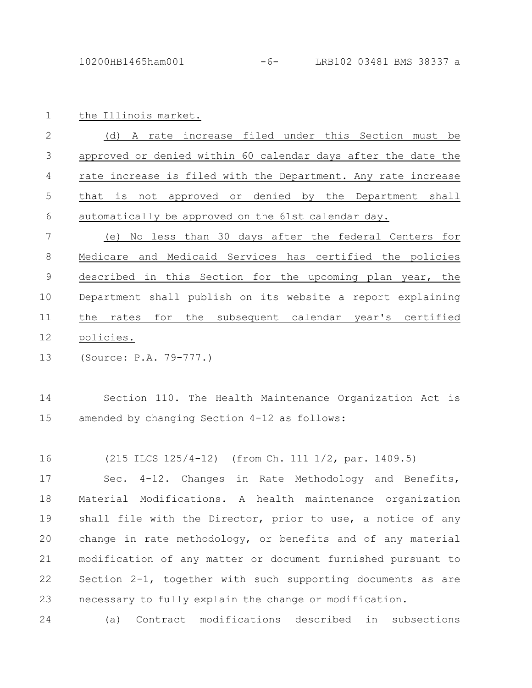the Illinois market. 1

(d) A rate increase filed under this Section must be approved or denied within 60 calendar days after the date the rate increase is filed with the Department. Any rate increase that is not approved or denied by the Department shall automatically be approved on the 61st calendar day. 2 3 4 5 6

(e) No less than 30 days after the federal Centers for Medicare and Medicaid Services has certified the policies described in this Section for the upcoming plan year, the Department shall publish on its website a report explaining the rates for the subsequent calendar year's certified policies. 7 8 9 10 11 12

(Source: P.A. 79-777.) 13

Section 110. The Health Maintenance Organization Act is amended by changing Section 4-12 as follows: 14 15

(215 ILCS 125/4-12) (from Ch. 111 1/2, par. 1409.5) 16

Sec. 4-12. Changes in Rate Methodology and Benefits, Material Modifications. A health maintenance organization shall file with the Director, prior to use, a notice of any change in rate methodology, or benefits and of any material modification of any matter or document furnished pursuant to Section 2-1, together with such supporting documents as are necessary to fully explain the change or modification. 17 18 19 20 21 22 23

(a) Contract modifications described in subsections 24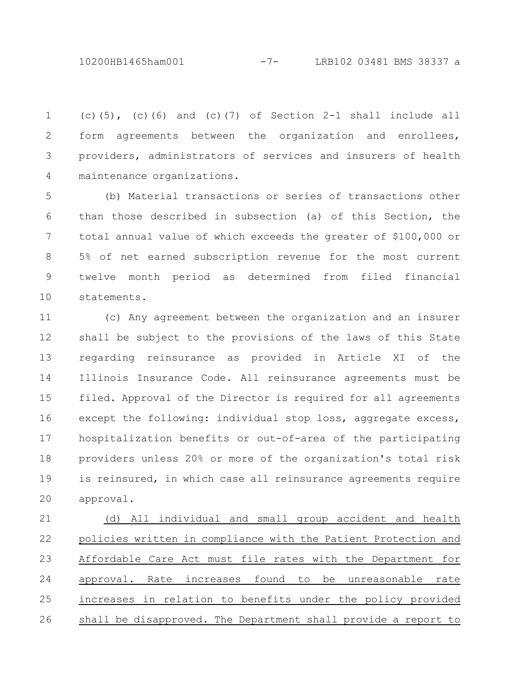10200HB1465ham001 -7- LRB102 03481 BMS 38337 a

(c)(5), (c)(6) and (c)(7) of Section  $2-1$  shall include all form agreements between the organization and enrollees, providers, administrators of services and insurers of health maintenance organizations. 1 2 3 4

(b) Material transactions or series of transactions other than those described in subsection (a) of this Section, the total annual value of which exceeds the greater of \$100,000 or 5% of net earned subscription revenue for the most current twelve month period as determined from filed financial statements. 5 6 7 8 9 10

(c) Any agreement between the organization and an insurer shall be subject to the provisions of the laws of this State regarding reinsurance as provided in Article XI of the Illinois Insurance Code. All reinsurance agreements must be filed. Approval of the Director is required for all agreements except the following: individual stop loss, aggregate excess, hospitalization benefits or out-of-area of the participating providers unless 20% or more of the organization's total risk is reinsured, in which case all reinsurance agreements require approval. 11 12 13 14 15 16 17 18 19 20

(d) All individual and small group accident and health policies written in compliance with the Patient Protection and Affordable Care Act must file rates with the Department for approval. Rate increases found to be unreasonable rate increases in relation to benefits under the policy provided shall be disapproved. The Department shall provide a report to 21 22 23 24 25 26